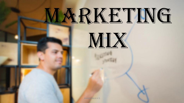# MARKETING

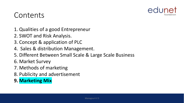

### Contents

- 1. Qualities of a good Entrepreneur
- 2. SWOT and Risk Analysis.
- 3. Concept & application of PLC
- 4. Sales & distribution Management.
- 5. Different Between Small Scale & Large Scale Business
- 6. Market Survey
- 7. Methods of marketing
- 8. Publicity and advertisement
- **9. Marketing Mix**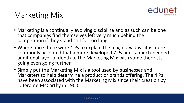

# Marketing Mix

- Marketing is a continually evolving discipline and as such can be one that companies find themselves left very much behind the competition if they stand still for too long.
- Where once there were 4 Ps to explain the mix, nowadays it is more commonly accepted that a more developed 7 Ps adds a much-needed additional layer of depth to the Marketing Mix with some theorists going even going further.
- Simply put the Marketing Mix is a tool used by businesses and Marketers to help determine a product or brands offering. The 4 Ps have been associated with the Marketing Mix since their creation by E. Jerome McCarthy in 1960.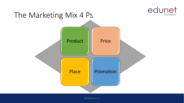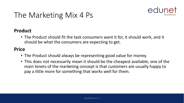

# The Marketing Mix 4 Ps

#### **Product**

• The Product should fit the task consumers want it for, it should work, and it should be what the consumers are expecting to get.

#### **Price**

- The Product should always be representing good value for money.
- This does not necessarily mean it should be the cheapest available; one of the main tenets of the marketing concept is that customers are usually happy to pay a little more for something that works well for them.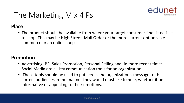

# The Marketing Mix 4 Ps

#### **Place**

• The product should be available from where your target consumer finds it easiest to shop. This may be High Street, Mail Order or the more current option via ecommerce or an online shop.

#### **Promotion**

- Advertising, PR, Sales Promotion, Personal Selling and, in more recent times, Social Media are all key communication tools for an organization.
- These tools should be used to put across the organization's message to the correct audiences in the manner they would most like to hear, whether it be informative or appealing to their emotions.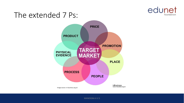

## The extended 7 Ps:

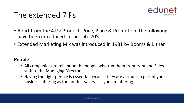

## The extended 7 Ps

- Apart from the 4 Ps: Product, Price, Place & Promotion, the following have been introduced in the late 70's.
- Extended Marketing Mix was introduced in 1981 by Booms & Bitner

#### **People**

- All companies are reliant on the people who run them from front line Sales staff to the Managing Director.
- Having the right people is essential because they are as much a part of your business offering as the products/services you are offering.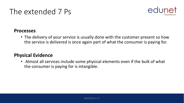# The extended 7 Ps



#### **Processes**

• The delivery of your service is usually done with the customer present so how the service is delivered is once again part of what the consumer is paying for.

#### **Physical Evidence**

• Almost all services include some physical elements even if the bulk of what the consumer is paying for is intangible.